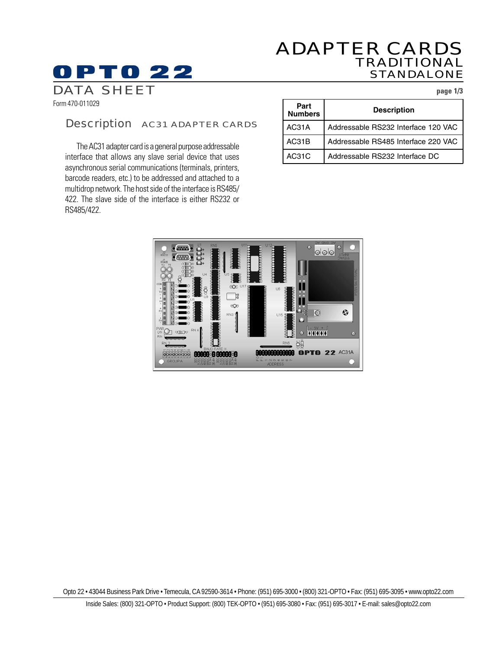# ADAPTER CARDS TRADITIONAL STANDALONE

DATA SHEET **page 1/3**

Form 470-011029

**OPTO 22** 

## Description AC31 ADAPTER CARDS

The AC31 adapter card is a general purpose addressable interface that allows any slave serial device that uses asynchronous serial communications (terminals, printers, barcode readers, etc.) to be addressed and attached to a multidrop network. The host side of the interface is RS485/ 422. The slave side of the interface is either RS232 or RS485/422.

| Part<br><b>Numbers</b> | <b>Description</b>                  |
|------------------------|-------------------------------------|
| AC31A                  | Addressable RS232 Interface 120 VAC |
| AC31B                  | Addressable RS485 Interface 220 VAC |
| AC31C                  | Addressable RS232 Interface DC      |



Opto 22 • 43044 Business Park Drive • Temecula, CA 92590-3614 • Phone: (951) 695-3000 • (800) 321-OPTO • Fax: (951) 695-3095 • www.opto22.com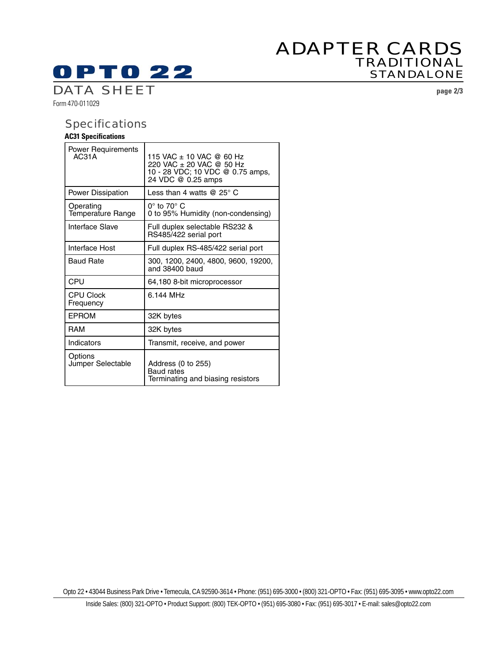# ADAPTER CARDS TRADITIONAL STANDALONE

Form 470-011029 DATA SHEET **page 2/3**

**OPTO 22** 

# **Specifications**

# **AC31 Specifications**

| <b>Power Requirements</b><br>AC31A    | 115 VAC ± 10 VAC @ 60 Hz<br>220 VAC ± 20 VAC @ 50 Hz<br>10 - 28 VDC; 10 VDC @ 0.75 amps,<br>24 VDC @ 0.25 amps |
|---------------------------------------|----------------------------------------------------------------------------------------------------------------|
| <b>Power Dissipation</b>              | Less than 4 watts @ 25 $^{\circ}$ C                                                                            |
| Operating<br><b>Temperature Range</b> | $0^\circ$ to $70^\circ$ C<br>0 to 95% Humidity (non-condensing)                                                |
| Interface Slave                       | Full duplex selectable RS232 &<br>RS485/422 serial port                                                        |
| Interface Host                        | Full duplex RS-485/422 serial port                                                                             |
| <b>Baud Rate</b>                      | 300, 1200, 2400, 4800, 9600, 19200,<br>and 38400 baud                                                          |
| CPU                                   | 64,180 8-bit microprocessor                                                                                    |
| <b>CPU Clock</b><br>Frequency         | 6.144 MHz                                                                                                      |
| <b>EPROM</b>                          | 32K bytes                                                                                                      |
| RAM                                   | 32K bytes                                                                                                      |
| Indicators                            | Transmit, receive, and power                                                                                   |
| Options<br>Jumper Selectable          | Address (0 to 255)<br>Baud rates<br>Terminating and biasing resistors                                          |

Opto 22 • 43044 Business Park Drive • Temecula, CA 92590-3614 • Phone: (951) 695-3000 • (800) 321-OPTO • Fax: (951) 695-3095 • www.opto22.com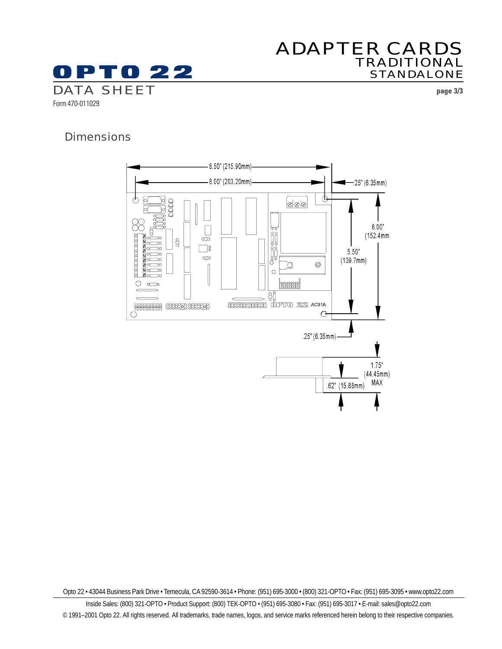

# ADAPTER CARDS TRADITIONAL STANDALONE

# **Dimensions**



Opto 22 • 43044 Business Park Drive • Temecula, CA 92590-3614 • Phone: (951) 695-3000 • (800) 321-OPTO • Fax: (951) 695-3095 • www.opto22.com